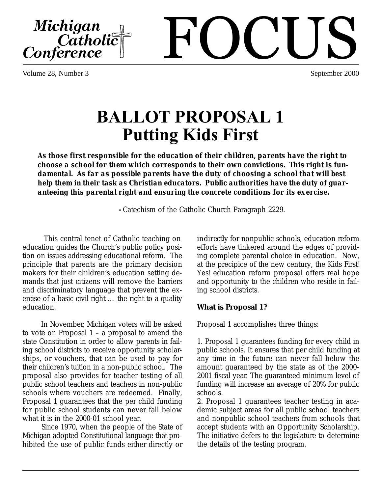Volume 28, Number 3 September 2000

Michigan<br>Catholic<br>Conference

# **BALLOT PROPOSAL 1 Putting Kids First**

*As those first responsible for the education of their children, parents have the right to choose a school for them which corresponds to their own convictions. This right is fundamental. As far as possible parents have the duty of choosing a school that will best help them in their task as Christian educators. Public authorities have the duty of guaranteeing this parental right and ensuring the concrete conditions for its exercise.*

**-** Catechism of the Catholic Church Paragraph 2229.

 This central tenet of Catholic teaching on education guides the Church's public policy position on issues addressing educational reform. The principle that parents are the primary decision makers for their children's education setting demands that just citizens will remove the barriers and discriminatory language that prevent the exercise of a basic civil right … the right to a quality education.

 In November, Michigan voters will be asked to vote on Proposal  $1 - a$  proposal to amend the state Constitution in order to allow parents in failing school districts to receive opportunity scholarships, or vouchers, that can be used to pay for their children's tuition in a non-public school. The proposal also provides for teacher testing of all public school teachers and teachers in non-public schools where vouchers are redeemed. Finally, Proposal 1 guarantees that the per child funding for public school students can never fall below what it is in the 2000-01 school year.

 Since 1970, when the people of the State of Michigan adopted Constitutional language that prohibited the use of public funds either directly or *indirectly* for nonpublic schools, education reform efforts have tinkered around the edges of providing complete parental choice in education. Now, at the precipice of the new century, the Kids First! Yes! education reform proposal offers real hope and opportunity to the children who reside in failing school districts.

### **What is Proposal 1?**

Proposal 1 accomplishes three things:

1. Proposal 1 guarantees funding for every child in public schools. It ensures that per child funding at any time in the future can never fall below the amount guaranteed by the state as of the 2000- 2001 fiscal year. The guaranteed minimum level of funding will increase an average of 20% for public schools.

2. Proposal 1 guarantees teacher testing in academic subject areas for all public school teachers and nonpublic school teachers from schools that accept students with an Opportunity Scholarship. The initiative defers to the legislature to determine the details of the testing program.

# FOCUS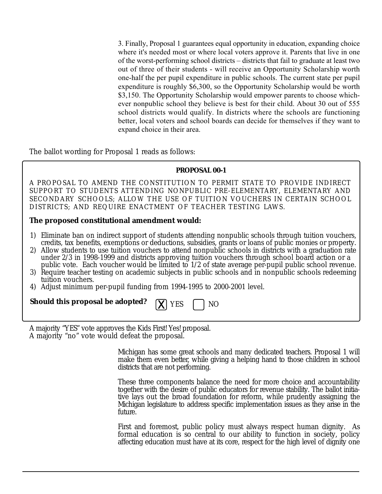3. Finally, Proposal 1 guarantees equal opportunity in education, expanding choice where it's needed most or where local voters approve it. Parents that live in one of the worst-performing school districts – districts that fail to graduate at least two out of three of their students - will receive an Opportunity Scholarship worth one-half the per pupil expenditure in public schools. The current state per pupil expenditure is roughly \$6,300, so the Opportunity Scholarship would be worth \$3,150. The Opportunity Scholarship would empower parents to choose whichever nonpublic school they believe is best for their child. About 30 out of 555 school districts would qualify. In districts where the schools are functioning better, local voters and school boards can decide for themselves if they want to expand choice in their area.

The ballot wording for Proposal 1 reads as follows:

#### **PROPOSAL 00-1**

A PROPOSAL TO AMEND THE CONSTITUTION TO PERMIT STATE TO PROVIDE INDIRECT SUPPORT TO STUDENTS ATTENDING NONPUBLIC PRE-ELEMENTARY, ELEMENTARY AND SECONDARY SCHOOLS; ALLOW THE USE OF TUITION VOUCHERS IN CERTAIN SCHOOL DISTRICTS; AND REQUIRE ENACTMENT OF TEACHER TESTING LAWS.

#### **The proposed constitutional amendment would:**

- 1) Eliminate ban on indirect support of students attending nonpublic schools through tuition vouchers, credits, tax benefits, exemptions or deductions, subsidies, grants or loans of public monies or property.
- 2) Allow students to use tuition vouchers to attend nonpublic schools in districts with a graduation rate under 2/3 in 1998-1999 and districts approving tuition vouchers through school board action or a public vote. Each voucher would be limited to 1/2 of state average per-pupil public school revenue.
- 3) Require teacher testing on academic subjects in public schools and in nonpublic schools redeeming tuition vouchers.
- 4) Adjust minimum per-pupil funding from 1994-1995 to 2000-2001 level.

| <b>Should this proposal be adopted?</b> $\boxed{X}$ YES $\boxed{\phantom{0}}$ NO |  |  |
|----------------------------------------------------------------------------------|--|--|
|----------------------------------------------------------------------------------|--|--|

A majority "YES" vote approves the Kids First! Yes! proposal. A majority "no" vote would defeat the proposal.

> Michigan has some great schools and many dedicated teachers. Proposal 1 will make them even better, while giving a helping hand to those children in school districts that are not performing.

> These three components balance the need for more choice and accountability together with the desire of public educators for revenue stability. The ballot initiative lays out the broad foundation for reform, while prudently assigning the Michigan legislature to address specific implementation issues as they arise in the future.

> First and foremost, public policy must always respect human dignity. As formal education is so central to our ability to function in society, policy affecting education must have at its core, respect for the high level of dignity one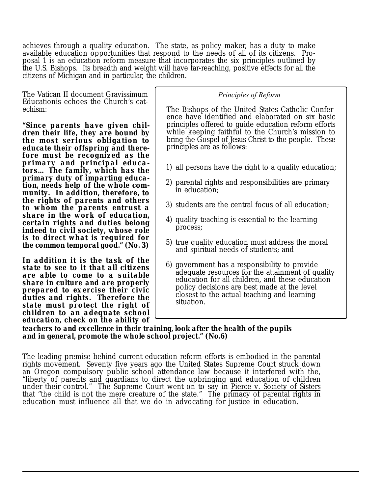achieves through a quality education. The state, as policy maker, has a duty to make available education opportunities that respond to the needs of all of its citizens. Proposal 1 is an education reform measure that incorporates the six principles outlined by the U.S. Bishops. Its breadth and weight will have far-reaching, positive effects for all the citizens of Michigan and in particular, the children.

The Vatican II document Gravissimum Educationis echoes the Church's catechism:

*"Since parents have given children their life, they are bound by the most serious obligation to educate their offspring and therefore must be recognized as the primary and principal educators… The family, which has the primary duty of imparting education, needs help of the whole community. In addition, therefore, to the rights of parents and others to whom the parents entrust a share in the work of education, certain rights and duties belong indeed to civil society, whose role is to direct what is required for the common temporal good." (No. 3)*

*In addition it is the task of the state to see to it that all citizens are able to come to a suitable share in culture and are properly prepared to exercise their civic duties and rights. Therefore the state must protect the right of children to an adequate school education, check on the ability of*

#### *Principles of Reform*

The Bishops of the United States Catholic Conference have identified and elaborated on six basic principles offered to guide education reform efforts while keeping faithful to the Church's mission to bring the Gospel of Jesus Christ to the people. These principles are as follows:

- 1) all persons have the right to a quality education;
- 2) parental rights and responsibilities are primary in education;
- 3) students are the central focus of all education;
- 4) quality teaching is essential to the learning process;
- 5) true quality education must address the moral and spiritual needs of students; and
- 6) government has a responsibility to provide adequate resources for the attainment of quality education for all children, and these education policy decisions are best made at the level closest to the actual teaching and learning situation.

*teachers to and excellence in their training, look after the health of the pupils and in general, promote the whole school project." (No.6)*

The leading premise behind current education reform efforts is embodied in the parental rights movement. Seventy five years ago the United States Supreme Court struck down an Oregon compulsory public school attendance law because it interfered with the, "liberty of parents and guardians to direct the upbringing and education of children under their control." The Supreme Court went on to say in Pierce v. Society of Sisters that "the child is not the mere creature of the state." The primacy of parental rights in education must influence all that we do in advocating for justice in education.